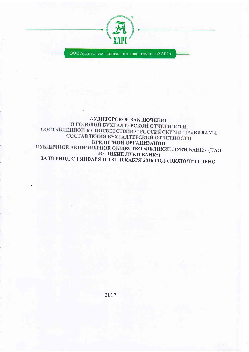

ООО Аудиторско-консалтинговая группа «ХАРС»

### АУДИТОРСКОЕ ЗАКЛЮЧЕНИЕ О ГОДОВОЙ БУХГАЛТЕРСКОЙ ОТЧЕТНОСТИ, СОСТАВЛЕННОЙ В СООТВЕТСТВИИ С РОССИЙСКИМИ ПРАВИЛАМИ СОСТАВЛЕНИЯ БУХГАЛТЕРСКОЙ ОТЧЕТНОСТИ КРЕДИТНОЙ ОРГАНИЗАЦИИ ПУБЛИЧНОЕ АКЦИОНЕРНОЕ ОБЩЕСТВО «ВЕЛИКИЕ ЛУКИ БАНК» (ПАО «ВЕЛИКИЕ ЛУКИ БАНК») ЗА ПЕРИОД С 1 ЯНВАРЯ ПО 31 ДЕКАБРЯ 2016 ГОДА ВКЛЮЧИТЕЛЬНО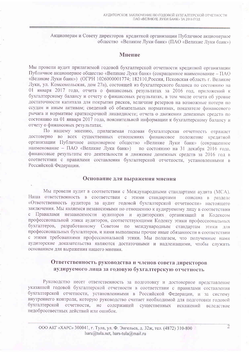Акционерам и Совету директоров кредитной организации Публичное акционерное общество «Великие Луки банк» (ПАО «Великие Луки банк»)

### Мнение

Мы провели аудит прилагаемой годовой бухгалтерской отчетности кредитной организации Публичное акционерное общество «Великие Луки банк» (сокращенное наименование – ПАО «Великие Луки банк») (ОГРН 1026000001774; 182110, Россия, Псковская область г. Великие Луки, ул. Комсомольская, дом 27а), состоящей из бухгалтерского баланса по состоянию на 01 января 2017 года, отчета о финансовых результатах за 2016 год, приложений к бухгалтерскому балансу и отчету о финансовых результатах, в том числе отчета об уровне достаточности капитала для покрытия рисков, величине резервов на возможные потери по ссудам и иным активам; сведений об обязательных нормативах, показателе финансового рычага и нормативе краткосрочной ликвидности; отчета о движении денежных средств по состоянию на 01 января 2017 года, пояснительной информации к бухгалтерскому балансу и отчету о финансовых результатах.

По нашему мнению, прилагаемая годовая бухгалтерская отчетность отражает достоверно во всех существенных отношениях финансовое положение кредитной организации Публичное акционерное общество «Великие Луки банк» (сокращенное наименование - ПАО «Великие Луки банк») по состоянию на 31 декабря 2016 года, финансовые результаты его деятельности и движение денежных средств за 2016 год в соответствии с правилами составления бухгалтерской отчетности, установленными в Российской Федерации.

#### Основание для выражения мнения

Мы провели аудит в соответствии с Международными стандартами аудита (МСА). Наша ответственность в соответствии с этими стандартами описана в разделе «Ответственность аудитора за аудит годовой бухгалтерской отчетности» настоящего заключения. Мы являемся независимыми по отношению к аудируемому лицу в соответствии с Правилами независимости аудиторов и аудиторских организаций и Кодексом профессиональной этики аудиторов, соответствующими Кодексу этики профессиональных бухгалтеров, разработанному Советом по международным стандартам этики для профессиональных бухгалтеров, и нами выполнены прочие иные обязанности в соответствии с этими требованиями профессиональной этики. Мы полагаем, что полученные нами аудиторские доказательства являются достаточными и надлежащими, чтобы служить основанием для выражения нашего мнения.

# Ответственность руководства и членов совета директоров аудируемого лица за годовую бухгалтерскую отчетность

Руководство несет ответственность за подготовку и достоверное представление указанной годовой бухгалтерской отчетности в соответствии с правилами составления бухгалтерской отчетности, установленными в Российской Федерации, и за систему внутреннего контроля, которую руководство считает необходимой для подготовки годовой бухгалтерской отчетности, не содержащей существенных искажений вследствие недобросовестных действий или ошибок.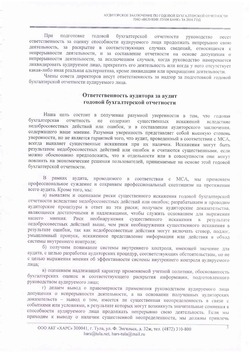При подготовке годовой бухгалтерской отчетности руководство несет ответственность за оценку способности аудируемого лица продолжать непрерывно свою деятельность, за раскрытие в соответствующих случаях сведений, относящихся к непрерывности деятельности, и за составление отчетности на основе допущения о непрерывности деятельности, за исключением случаев, когда руководство намеревается ликвидировать аудируемое лицо, прекратить его деятельность или когда у него отсутствует какая-либо иная реальная альтернатива, кроме ликвидации или прекращения деятельности.

Члены совета директоров несут ответственность за надзор за подготовкой годовой бухгалтерской отчетности аудируемого лица.

# Ответственность аудитора за аудит годовой бухгалтерской отчетности

Наша цель состоит в получении разумной уверенности в том, что годовая бухгалтерская отчетность He содержит существенных искажений вследствие недобросовестных действий или ошибок, и в составлении аудиторского заключения. содержащего наше мнение. Разумная уверенность представляет собой высокую степень уверенности, но не является гарантией того, что аудит, проведенный в соответствии с МСА, всегда выявляет существенные искажения при их наличии. Искажения могут быть результатом недобросовестных действий или ошибок и считаются существенными, если можно обоснованно предположить, что в отдельности или в совокупности они могут повлиять на экономические решения пользователей, принимаемые на основе этой годовой бухгалтерской отчетности.

В рамках аудита, проводимого в соответствии с МСА, мы применяем профессиональное суждение и сохраняем профессиональный скептицизм на протяжении всего аудита. Кроме того, мы:

а) выявляем и оцениваем риски существенного искажения годовой бухгалтерской отчетности вследствие недобросовестных действий или ошибок; разрабатываем и проводим аудиторские процедуры в ответ на эти риски; получаем аудиторские доказательства, являющиеся достаточными и надлежащими, чтобы служить основанием для выражения нашего мнения. Риск необнаружения существенного искажения  $B$ результате недобросовестных действий выше, чем риск необнаружения существенного искажения в результате ошибки, так как недобросовестные действия могут включать сговор, подлог, умышленный пропуск, искаженное представление информации или действия в обход системы внутреннего контроля:

б) получаем понимание системы внутреннего контроля, имеющей значение для аудита, с целью разработки аудиторских процедур, соответствующих обстоятельствам, но не с целью выражения мнения об эффективности системы внутреннего контроля аудируемого лина:

в) оцениваем надлежащий характер применяемой учетной политики, обоснованность бухгалтерских оценок и соответствующего раскрытия информации, подготовленного руководством аудируемого лица:

г) делаем вывод о правомерности применения руководством аудируемого лица допущения о непрерывности деятельности, а на основании полученных аудиторских доказательств - вывод о том, имеется ли существенная неопределенность в связи с событиями или условиями, в результате которых могут возникнуть значительные сомнения в способности аудируемого лица продолжать непрерывно свою деятельность. Если мы приходим к выводу о наличии существенной неопределенности, мы должны привлечь